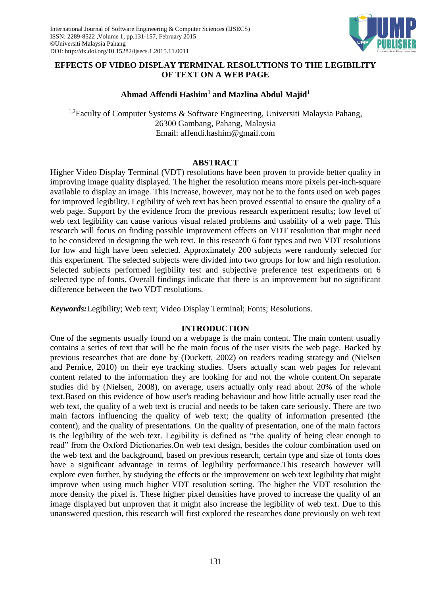

# **EFFECTS OF VIDEO DISPLAY TERMINAL RESOLUTIONS TO THE LEGIBILITY OF TEXT ON A WEB PAGE**

## **Ahmad Affendi Hashim<sup>1</sup> and Mazlina Abdul Majid<sup>1</sup>**

<sup>1,2</sup>Faculty of Computer Systems & Software Engineering, Universiti Malaysia Pahang, 26300 Gambang, Pahang, Malaysia Email: affendi.hashim@gmail.com

## **ABSTRACT**

Higher Video Display Terminal (VDT) resolutions have been proven to provide better quality in improving image quality displayed. The higher the resolution means more pixels per-inch-square available to display an image. This increase, however, may not be to the fonts used on web pages for improved legibility. Legibility of web text has been proved essential to ensure the quality of a web page. Support by the evidence from the previous research experiment results; low level of web text legibility can cause various visual related problems and usability of a web page. This research will focus on finding possible improvement effects on VDT resolution that might need to be considered in designing the web text. In this research 6 font types and two VDT resolutions for low and high have been selected. Approximately 200 subjects were randomly selected for this experiment. The selected subjects were divided into two groups for low and high resolution. Selected subjects performed legibility test and subjective preference test experiments on 6 selected type of fonts. Overall findings indicate that there is an improvement but no significant difference between the two VDT resolutions.

*Keywords:*Legibility; Web text; Video Display Terminal; Fonts; Resolutions.

## **INTRODUCTION**

One of the segments usually found on a webpage is the main content. The main content usually contains a series of text that will be the main focus of the user visits the web page. Backed by previous researches that are done by (Duckett, 2002) on readers reading strategy and (Nielsen and Pernice, 2010) on their eye tracking studies. Users actually scan web pages for relevant content related to the information they are looking for and not the whole content.On separate studies did by (Nielsen, 2008), on average, users actually only read about 20% of the whole text.Based on this evidence of how user's reading behaviour and how little actually user read the web text, the quality of a web text is crucial and needs to be taken care seriously. There are two main factors influencing the quality of web text; the quality of information presented (the content), and the quality of presentations. On the quality of presentation, one of the main factors is the legibility of the web text. Legibility is defined as "the quality of being clear enough to read" from the Oxford Dictionaries.On web text design, besides the colour combination used on the web text and the background, based on previous research, certain type and size of fonts does have a significant advantage in terms of legibility performance.This research however will explore even further, by studying the effects or the improvement on web text legibility that might improve when using much higher VDT resolution setting. The higher the VDT resolution the more density the pixel is. These higher pixel densities have proved to increase the quality of an image displayed but unproven that it might also increase the legibility of web text. Due to this unanswered question, this research will first explored the researches done previously on web text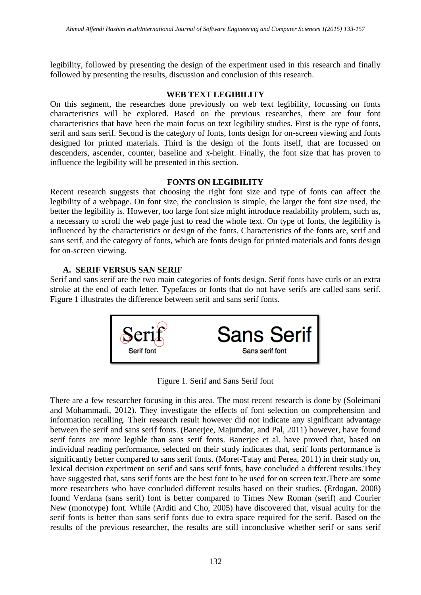legibility, followed by presenting the design of the experiment used in this research and finally followed by presenting the results, discussion and conclusion of this research.

## **WEB TEXT LEGIBILITY**

On this segment, the researches done previously on web text legibility, focussing on fonts characteristics will be explored. Based on the previous researches, there are four font characteristics that have been the main focus on text legibility studies. First is the type of fonts, serif and sans serif. Second is the category of fonts, fonts design for on-screen viewing and fonts designed for printed materials. Third is the design of the fonts itself, that are focussed on descenders, ascender, counter, baseline and x-height. Finally, the font size that has proven to influence the legibility will be presented in this section.

# **FONTS ON LEGIBILITY**

Recent research suggests that choosing the right font size and type of fonts can affect the legibility of a webpage. On font size, the conclusion is simple, the larger the font size used, the better the legibility is. However, too large font size might introduce readability problem, such as, a necessary to scroll the web page just to read the whole text. On type of fonts, the legibility is influenced by the characteristics or design of the fonts. Characteristics of the fonts are, serif and sans serif, and the category of fonts, which are fonts design for printed materials and fonts design for on-screen viewing.

# **A. SERIF VERSUS SAN SERIF**

Serif and sans serif are the two main categories of fonts design. Serif fonts have curls or an extra stroke at the end of each letter. Typefaces or fonts that do not have serifs are called sans serif. Figure 1 illustrates the difference between serif and sans serif fonts.



Figure 1. Serif and Sans Serif font

There are a few researcher focusing in this area. The most recent research is done by (Soleimani and Mohammadi, 2012). They investigate the effects of font selection on comprehension and information recalling. Their research result however did not indicate any significant advantage between the serif and sans serif fonts. (Banerjee, Majumdar, and Pal, 2011) however, have found serif fonts are more legible than sans serif fonts. Banerjee et al. have proved that, based on individual reading performance, selected on their study indicates that, serif fonts performance is significantly better compared to sans serif fonts. (Moret-Tatay and Perea, 2011) in their study on, lexical decision experiment on serif and sans serif fonts, have concluded a different results.They have suggested that, sans serif fonts are the best font to be used for on screen text.There are some more researchers who have concluded different results based on their studies. (Erdogan, 2008) found Verdana (sans serif) font is better compared to Times New Roman (serif) and Courier New (monotype) font. While (Arditi and Cho, 2005) have discovered that, visual acuity for the serif fonts is better than sans serif fonts due to extra space required for the serif. Based on the results of the previous researcher, the results are still inconclusive whether serif or sans serif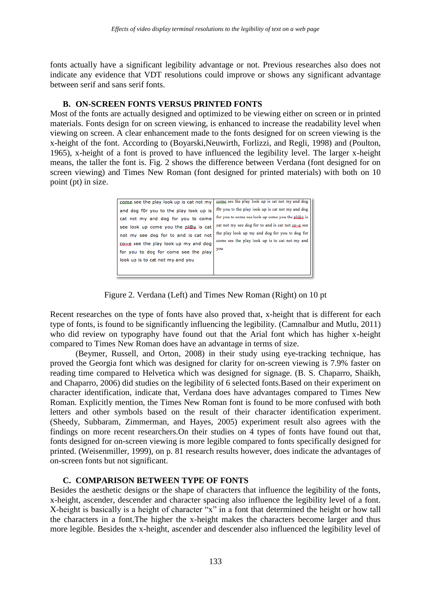fonts actually have a significant legibility advantage or not. Previous researches also does not indicate any evidence that VDT resolutions could improve or shows any significant advantage between serif and sans serif fonts.

#### **B. ON-SCREEN FONTS VERSUS PRINTED FONTS**

Most of the fonts are actually designed and optimized to be viewing either on screen or in printed materials. Fonts design for on screen viewing, is enhanced to increase the readability level when viewing on screen. A clear enhancement made to the fonts designed for on screen viewing is the x-height of the font. According to (Boyarski,Neuwirth, Forlizzi, and Regli, 1998) and (Poulton, 1965), x-height of a font is proved to have influenced the legibility level. The larger x-height means, the taller the font is. Fig. 2 shows the difference between Verdana (font designed for on screen viewing) and Times New Roman (font designed for printed materials) with both on 10 point (pt) in size.

| come see the play look up is cat not my | come see the play look up is cat not my and dog      |
|-----------------------------------------|------------------------------------------------------|
| and dog f0r you to the play look up is  | f0r you to the play look up is cat not my and dog    |
| cat not my and dog for you to come      | for you to come see look up come you the $p\ Q\ $ is |
| see look up come you the pl@x is cat    | cat not my see dog for to and is cat not co-e see    |
| not my see dog for to and is cat not    | the play look up my and dog for you to dog for       |
| casse, see the play look up my and dog  | come see the play look up is to cat not my and       |
| for you to dog for come see the play    | you                                                  |
| look up is to cat not my and you        |                                                      |
|                                         |                                                      |
|                                         |                                                      |

Figure 2. Verdana (Left) and Times New Roman (Right) on 10 pt

Recent researches on the type of fonts have also proved that, x-height that is different for each type of fonts, is found to be significantly influencing the legibility. (Camnalbur and Mutlu, 2011) who did review on typography have found out that the Arial font which has higher x-height compared to Times New Roman does have an advantage in terms of size.

(Beymer, Russell, and Orton, 2008) in their study using eye-tracking technique, has proved the Georgia font which was designed for clarity for on-screen viewing is 7.9% faster on reading time compared to Helvetica which was designed for signage. (B. S. Chaparro, Shaikh, and Chaparro, 2006) did studies on the legibility of 6 selected fonts.Based on their experiment on character identification, indicate that, Verdana does have advantages compared to Times New Roman. Explicitly mention, the Times New Roman font is found to be more confused with both letters and other symbols based on the result of their character identification experiment. (Sheedy, Subbaram, Zimmerman, and Hayes, 2005) experiment result also agrees with the findings on more recent researchers.On their studies on 4 types of fonts have found out that, fonts designed for on-screen viewing is more legible compared to fonts specifically designed for printed. (Weisenmiller, 1999), on p. 81 research results however, does indicate the advantages of on-screen fonts but not significant.

# **C. COMPARISON BETWEEN TYPE OF FONTS**

Besides the aesthetic designs or the shape of characters that influence the legibility of the fonts, x-height, ascender, descender and character spacing also influence the legibility level of a font. X-height is basically is a height of character "x" in a font that determined the height or how tall the characters in a font.The higher the x-height makes the characters become larger and thus more legible. Besides the x-height, ascender and descender also influenced the legibility level of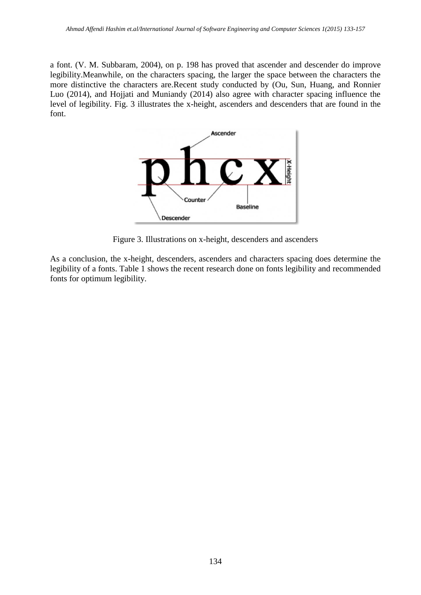a font. (V. M. Subbaram, 2004), on p. 198 has proved that ascender and descender do improve legibility.Meanwhile, on the characters spacing, the larger the space between the characters the more distinctive the characters are.Recent study conducted by (Ou, Sun, Huang, and Ronnier Luo (2014), and Hojjati and Muniandy (2014) also agree with character spacing influence the level of legibility. Fig. 3 illustrates the x-height, ascenders and descenders that are found in the font.



Figure 3. Illustrations on x-height, descenders and ascenders

As a conclusion, the x-height, descenders, ascenders and characters spacing does determine the legibility of a fonts. Table 1 shows the recent research done on fonts legibility and recommended fonts for optimum legibility.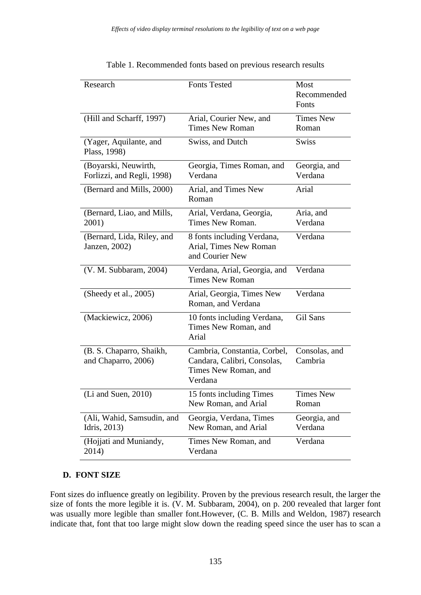| Research                                           | <b>Fonts Tested</b>                                                                            | Most                      |
|----------------------------------------------------|------------------------------------------------------------------------------------------------|---------------------------|
|                                                    |                                                                                                | Recommended<br>Fonts      |
| (Hill and Scharff, 1997)                           | Arial, Courier New, and                                                                        | <b>Times New</b>          |
|                                                    | <b>Times New Roman</b>                                                                         | Roman                     |
| (Yager, Aquilante, and<br>Plass, 1998)             | Swiss, and Dutch                                                                               | <b>Swiss</b>              |
| (Boyarski, Neuwirth,<br>Forlizzi, and Regli, 1998) | Georgia, Times Roman, and<br>Verdana                                                           | Georgia, and<br>Verdana   |
| (Bernard and Mills, 2000)                          | Arial, and Times New<br>Roman                                                                  | Arial                     |
| (Bernard, Liao, and Mills,<br>2001)                | Arial, Verdana, Georgia,<br>Times New Roman.                                                   | Aria, and<br>Verdana      |
| (Bernard, Lida, Riley, and<br>Janzen, 2002)        | 8 fonts including Verdana,<br>Arial, Times New Roman<br>and Courier New                        | Verdana                   |
| (V. M. Subbaram, 2004)                             | Verdana, Arial, Georgia, and<br><b>Times New Roman</b>                                         | Verdana                   |
| (Sheedy et al., 2005)                              | Arial, Georgia, Times New<br>Roman, and Verdana                                                | Verdana                   |
| (Mackiewicz, 2006)                                 | 10 fonts including Verdana,<br>Times New Roman, and<br>Arial                                   | Gil Sans                  |
| (B. S. Chaparro, Shaikh,<br>and Chaparro, 2006)    | Cambria, Constantia, Corbel,<br>Candara, Calibri, Consolas,<br>Times New Roman, and<br>Verdana | Consolas, and<br>Cambria  |
| $(Li$ and Suen, 2010)                              | 15 fonts including Times<br>New Roman, and Arial                                               | <b>Times New</b><br>Roman |
| (Ali, Wahid, Samsudin, and<br>Idris, 2013)         | Georgia, Verdana, Times<br>New Roman, and Arial                                                | Georgia, and<br>Verdana   |
| (Hojjati and Muniandy,<br>2014)                    | Times New Roman, and<br>Verdana                                                                | Verdana                   |

Table 1. Recommended fonts based on previous research results

# **D. FONT SIZE**

Font sizes do influence greatly on legibility. Proven by the previous research result, the larger the size of fonts the more legible it is. (V. M. Subbaram, 2004), on p. 200 revealed that larger font was usually more legible than smaller font.However, (C. B. Mills and Weldon, 1987) research indicate that, font that too large might slow down the reading speed since the user has to scan a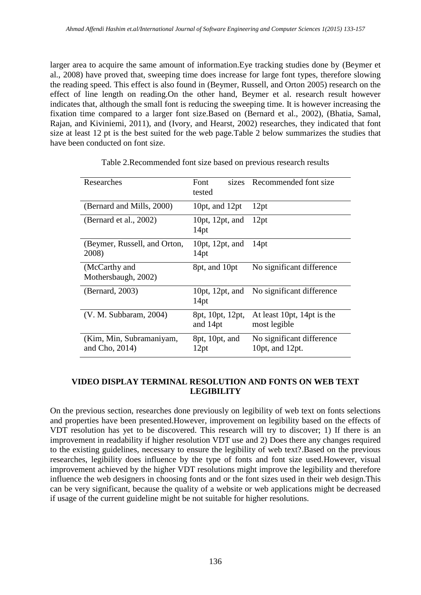larger area to acquire the same amount of information.Eye tracking studies done by (Beymer et al., 2008) have proved that, sweeping time does increase for large font types, therefore slowing the reading speed. This effect is also found in (Beymer, Russell, and Orton 2005) research on the effect of line length on reading.On the other hand, Beymer et al. research result however indicates that, although the small font is reducing the sweeping time. It is however increasing the fixation time compared to a larger font size.Based on (Bernard et al., 2002), (Bhatia, Samal, Rajan, and Kiviniemi, 2011), and (Ivory, and Hearst, 2002) researches, they indicated that font size at least 12 pt is the best suited for the web page.Table 2 below summarizes the studies that have been conducted on font size.

| Researches                                 | Font<br>sizes<br>tested             | Recommended font size                                |
|--------------------------------------------|-------------------------------------|------------------------------------------------------|
| (Bernard and Mills, 2000)                  | 10pt, and 12pt                      | 12pt                                                 |
| (Bernard et al., 2002)                     | 10pt, 12pt, and<br>14 <sub>pt</sub> | 12pt                                                 |
| (Beymer, Russell, and Orton,<br>2008)      | 10pt, 12pt, and<br>14 <sub>pt</sub> | 14 <sub>pt</sub>                                     |
| (McCarthy and<br>Mothersbaugh, 2002)       | 8pt, and 10pt                       | No significant difference                            |
| (Bernard, 2003)                            | 10 $pt$ , 12 $pt$ , and<br>14pt     | No significant difference                            |
| (V. M. Subbaram, 2004)                     | 8pt, 10pt, 12pt,<br>and 14pt        | At least 10pt, 14pt is the<br>most legible           |
| (Kim, Min, Subramaniyam,<br>and Cho, 2014) | 8pt, 10pt, and<br>12pt              | No significant difference<br>10 $pt$ , and 12 $pt$ . |

Table 2.Recommended font size based on previous research results

# **VIDEO DISPLAY TERMINAL RESOLUTION AND FONTS ON WEB TEXT LEGIBILITY**

On the previous section, researches done previously on legibility of web text on fonts selections and properties have been presented.However, improvement on legibility based on the effects of VDT resolution has yet to be discovered. This research will try to discover; 1) If there is an improvement in readability if higher resolution VDT use and 2) Does there any changes required to the existing guidelines, necessary to ensure the legibility of web text?.Based on the previous researches, legibility does influence by the type of fonts and font size used.However, visual improvement achieved by the higher VDT resolutions might improve the legibility and therefore influence the web designers in choosing fonts and or the font sizes used in their web design.This can be very significant, because the quality of a website or web applications might be decreased if usage of the current guideline might be not suitable for higher resolutions.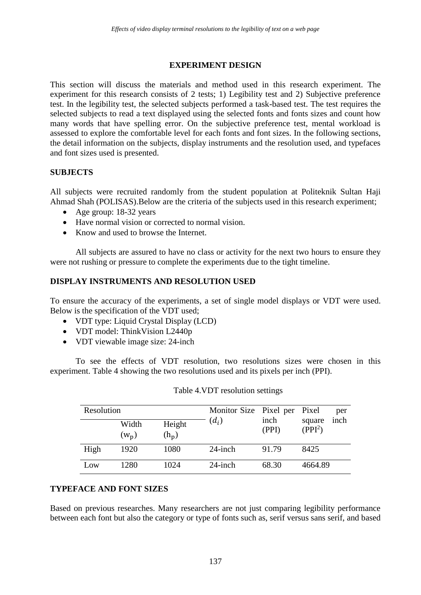## **EXPERIMENT DESIGN**

This section will discuss the materials and method used in this research experiment. The experiment for this research consists of 2 tests; 1) Legibility test and 2) Subjective preference test. In the legibility test, the selected subjects performed a task-based test. The test requires the selected subjects to read a text displayed using the selected fonts and fonts sizes and count how many words that have spelling error. On the subjective preference test, mental workload is assessed to explore the comfortable level for each fonts and font sizes. In the following sections, the detail information on the subjects, display instruments and the resolution used, and typefaces and font sizes used is presented.

## **SUBJECTS**

All subjects were recruited randomly from the student population at Politeknik Sultan Haji Ahmad Shah (POLISAS).Below are the criteria of the subjects used in this research experiment;

- Age group: 18-32 years
- Have normal vision or corrected to normal vision.
- Know and used to browse the Internet.

All subjects are assured to have no class or activity for the next two hours to ensure they were not rushing or pressure to complete the experiments due to the tight timeline.

## **DISPLAY INSTRUMENTS AND RESOLUTION USED**

To ensure the accuracy of the experiments, a set of single model displays or VDT were used. Below is the specification of the VDT used;

- VDT type: Liquid Crystal Display (LCD)
- VDT model: ThinkVision L2440p
- VDT viewable image size: 24-inch

To see the effects of VDT resolution, two resolutions sizes were chosen in this experiment. Table 4 showing the two resolutions used and its pixels per inch (PPI).

| Resolution |                  | Monitor Size Pixel per Pixel |            | per           |                                       |
|------------|------------------|------------------------------|------------|---------------|---------------------------------------|
|            | Width<br>$(w_n)$ | Height<br>$(h_p)$            | $(d_i)$    | inch<br>(PPI) | inch<br>square<br>(PPI <sup>2</sup> ) |
| High       | 1920             | 1080                         | $24$ -inch | 91.79         | 8425                                  |
| Low        | 1280             | 1024                         | $24$ -inch | 68.30         | 4664.89                               |

## **TYPEFACE AND FONT SIZES**

Based on previous researches. Many researchers are not just comparing legibility performance between each font but also the category or type of fonts such as, serif versus sans serif, and based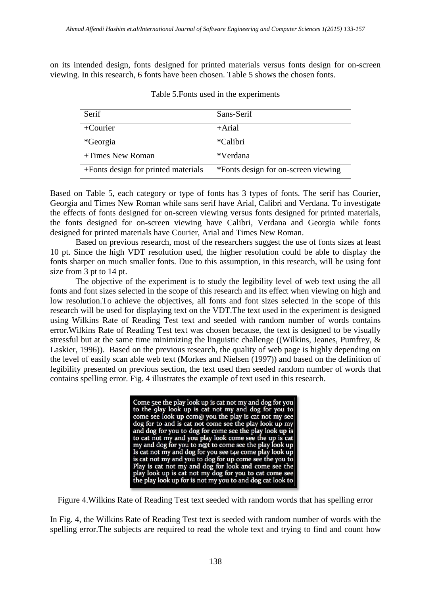on its intended design, fonts designed for printed materials versus fonts design for on-screen viewing. In this research, 6 fonts have been chosen. Table 5 shows the chosen fonts.

| Serif                               | Sans-Serif                          |
|-------------------------------------|-------------------------------------|
| $+$ Courier                         | $+A$ rial                           |
| *Georgia                            | *Calibri                            |
| +Times New Roman                    | *Verdana                            |
| +Fonts design for printed materials | *Fonts design for on-screen viewing |

Table 5.Fonts used in the experiments

Based on Table 5, each category or type of fonts has 3 types of fonts. The serif has Courier, Georgia and Times New Roman while sans serif have Arial, Calibri and Verdana. To investigate the effects of fonts designed for on-screen viewing versus fonts designed for printed materials, the fonts designed for on-screen viewing have Calibri, Verdana and Georgia while fonts designed for printed materials have Courier, Arial and Times New Roman.

Based on previous research, most of the researchers suggest the use of fonts sizes at least 10 pt. Since the high VDT resolution used, the higher resolution could be able to display the fonts sharper on much smaller fonts. Due to this assumption, in this research, will be using font size from 3 pt to 14 pt.

The objective of the experiment is to study the legibility level of web text using the all fonts and font sizes selected in the scope of this research and its effect when viewing on high and low resolution.To achieve the objectives, all fonts and font sizes selected in the scope of this research will be used for displaying text on the VDT.The text used in the experiment is designed using Wilkins Rate of Reading Test text and seeded with random number of words contains error.Wilkins Rate of Reading Test text was chosen because, the text is designed to be visually stressful but at the same time minimizing the linguistic challenge ((Wilkins, Jeanes, Pumfrey, & Laskier, 1996)). Based on the previous research, the quality of web page is highly depending on the level of easily scan able web text (Morkes and Nielsen (1997)) and based on the definition of legibility presented on previous section, the text used then seeded random number of words that contains spelling error. Fig. 4 illustrates the example of text used in this research.

> Come 5ee the play look up is cat not my and dog for you<br>to the 9lay look up is cat not my and dog for you to<br>come see look up com@ you the play is cat not my see<br>dog for to and is cat not come see the play look up my<br>and d the play look up for is not my you to and dog cat look to

Figure 4.Wilkins Rate of Reading Test text seeded with random words that has spelling error

In Fig. 4, the Wilkins Rate of Reading Test text is seeded with random number of words with the spelling error.The subjects are required to read the whole text and trying to find and count how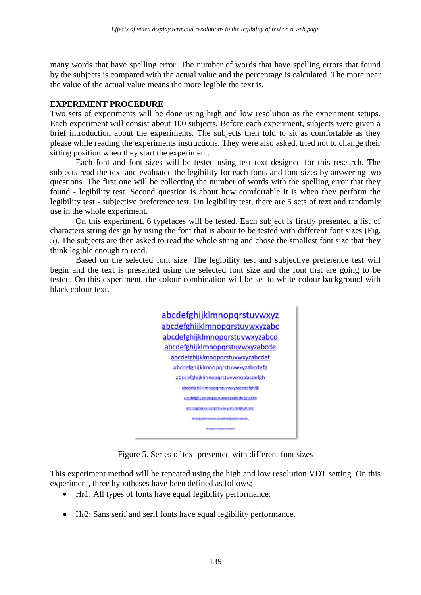many words that have spelling error. The number of words that have spelling errors that found by the subjects is compared with the actual value and the percentage is calculated. The more near the value of the actual value means the more legible the text is.

#### **EXPERIMENT PROCEDURE**

Two sets of experiments will be done using high and low resolution as the experiment setups. Each experiment will consist about 100 subjects. Before each experiment, subjects were given a brief introduction about the experiments. The subjects then told to sit as comfortable as they please while reading the experiments instructions. They were also asked, tried not to change their sitting position when they start the experiment.

Each font and font sizes will be tested using test text designed for this research. The subjects read the text and evaluated the legibility for each fonts and font sizes by answering two questions. The first one will be collecting the number of words with the spelling error that they found - legibility test. Second question is about how comfortable it is when they perform the legibility test - subjective preference test. On legibility test, there are 5 sets of text and randomly use in the whole experiment.

On this experiment, 6 typefaces will be tested. Each subject is firstly presented a list of characters string design by using the font that is about to be tested with different font sizes (Fig. 5). The subjects are then asked to read the whole string and chose the smallest font size that they think legible enough to read.

Based on the selected font size. The legibility test and subjective preference test will begin and the text is presented using the selected font size and the font that are going to be tested. On this experiment, the colour combination will be set to white colour background with black colour text.



Figure 5. Series of text presented with different font sizes

This experiment method will be repeated using the high and low resolution VDT setting. On this experiment, three hypotheses have been defined as follows;

- H<sub>0</sub>1: All types of fonts have equal legibility performance.
- $\bullet$  H<sub>0</sub>2: Sans serif and serif fonts have equal legibility performance.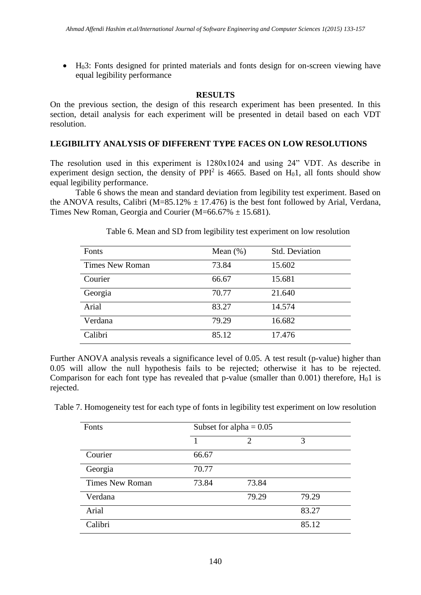$\bullet$  H<sub>0</sub>3: Fonts designed for printed materials and fonts design for on-screen viewing have equal legibility performance

## **RESULTS**

On the previous section, the design of this research experiment has been presented. In this section, detail analysis for each experiment will be presented in detail based on each VDT resolution.

## **LEGIBILITY ANALYSIS OF DIFFERENT TYPE FACES ON LOW RESOLUTIONS**

The resolution used in this experiment is 1280x1024 and using 24" VDT. As describe in experiment design section, the density of PPI<sup>2</sup> is 4665. Based on  $H_01$ , all fonts should show equal legibility performance.

Table 6 shows the mean and standard deviation from legibility test experiment. Based on the ANOVA results, Calibri (M=85.12%  $\pm$  17.476) is the best font followed by Arial, Verdana, Times New Roman, Georgia and Courier ( $M=66.67\% \pm 15.681$ ).

| Fonts                  | Mean $(\%)$ | <b>Std. Deviation</b> |
|------------------------|-------------|-----------------------|
| <b>Times New Roman</b> | 73.84       | 15.602                |
| Courier                | 66.67       | 15.681                |
| Georgia                | 70.77       | 21.640                |
| Arial                  | 83.27       | 14.574                |
| Verdana                | 79.29       | 16.682                |
| Calibri                | 85.12       | 17.476                |

Table 6. Mean and SD from legibility test experiment on low resolution

Further ANOVA analysis reveals a significance level of 0.05. A test result (p-value) higher than 0.05 will allow the null hypothesis fails to be rejected; otherwise it has to be rejected. Comparison for each font type has revealed that p-value (smaller than 0.001) therefore,  $H_01$  is rejected.

Table 7. Homogeneity test for each type of fonts in legibility test experiment on low resolution

| Fonts                  | Subset for alpha = $0.05$ |                             |       |
|------------------------|---------------------------|-----------------------------|-------|
|                        |                           | $\mathcal{D}_{\mathcal{L}}$ | 3     |
| Courier                | 66.67                     |                             |       |
| Georgia                | 70.77                     |                             |       |
| <b>Times New Roman</b> | 73.84                     | 73.84                       |       |
| Verdana                |                           | 79.29                       | 79.29 |
| Arial                  |                           |                             | 83.27 |
| Calibri                |                           |                             | 85.12 |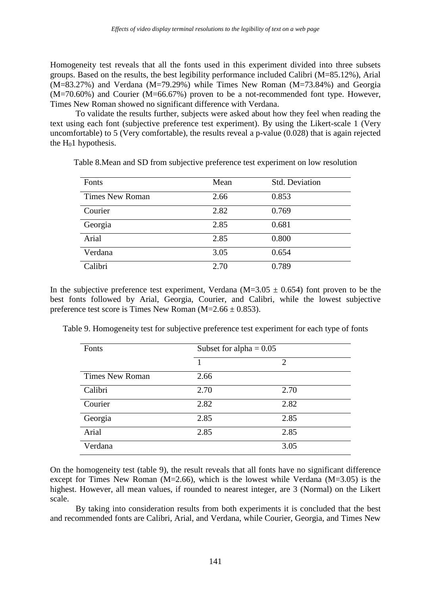Homogeneity test reveals that all the fonts used in this experiment divided into three subsets groups. Based on the results, the best legibility performance included Calibri (M=85.12%), Arial  $(M=83.27%)$  and Verdana  $(M=79.29%)$  while Times New Roman  $(M=73.84%)$  and Georgia (M=70.60%) and Courier (M=66.67%) proven to be a not-recommended font type. However, Times New Roman showed no significant difference with Verdana.

To validate the results further, subjects were asked about how they feel when reading the text using each font (subjective preference test experiment). By using the Likert-scale 1 (Very uncomfortable) to 5 (Very comfortable), the results reveal a p-value (0.028) that is again rejected the  $H<sub>0</sub>1$  hypothesis.

| Fonts                  | Mean | <b>Std. Deviation</b> |
|------------------------|------|-----------------------|
| <b>Times New Roman</b> | 2.66 | 0.853                 |
| Courier                | 2.82 | 0.769                 |
| Georgia                | 2.85 | 0.681                 |
| Arial                  | 2.85 | 0.800                 |
| Verdana                | 3.05 | 0.654                 |
| Calibri                | 2.70 | 0.789                 |

Table 8.Mean and SD from subjective preference test experiment on low resolution

In the subjective preference test experiment, Verdana (M=3.05  $\pm$  0.654) font proven to be the best fonts followed by Arial, Georgia, Courier, and Calibri, while the lowest subjective preference test score is Times New Roman ( $M=2.66 \pm 0.853$ ).

|  |  |  | Table 9. Homogeneity test for subjective preference test experiment for each type of fonts |  |
|--|--|--|--------------------------------------------------------------------------------------------|--|
|  |  |  |                                                                                            |  |

| Fonts                  | Subset for alpha = $0.05$ |                             |  |
|------------------------|---------------------------|-----------------------------|--|
|                        |                           | $\mathcal{D}_{\mathcal{L}}$ |  |
| <b>Times New Roman</b> | 2.66                      |                             |  |
| Calibri                | 2.70                      | 2.70                        |  |
| Courier                | 2.82                      | 2.82                        |  |
| Georgia                | 2.85                      | 2.85                        |  |
| Arial                  | 2.85                      | 2.85                        |  |
| Verdana                |                           | 3.05                        |  |

On the homogeneity test (table 9), the result reveals that all fonts have no significant difference except for Times New Roman ( $M=2.66$ ), which is the lowest while Verdana ( $M=3.05$ ) is the highest. However, all mean values, if rounded to nearest integer, are 3 (Normal) on the Likert scale.

By taking into consideration results from both experiments it is concluded that the best and recommended fonts are Calibri, Arial, and Verdana, while Courier, Georgia, and Times New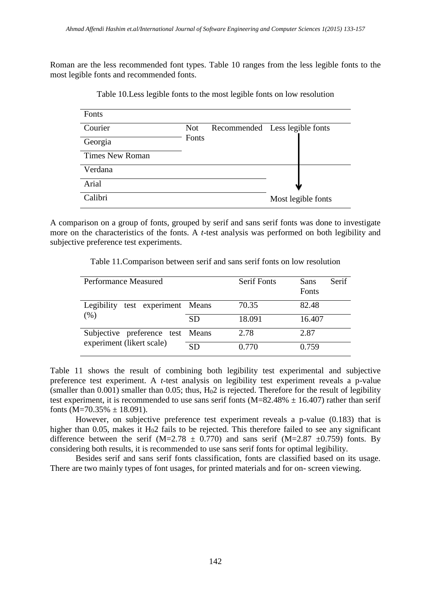Roman are the less recommended font types. Table 10 ranges from the less legible fonts to the most legible fonts and recommended fonts.

| Fonts                  |            |                                |                    |
|------------------------|------------|--------------------------------|--------------------|
| Courier                | <b>Not</b> | Recommended Less legible fonts |                    |
| Georgia                | Fonts      |                                |                    |
| <b>Times New Roman</b> |            |                                |                    |
| Verdana                |            |                                |                    |
| Arial                  |            |                                |                    |
| Calibri                |            |                                | Most legible fonts |

Table 10.Less legible fonts to the most legible fonts on low resolution

A comparison on a group of fonts, grouped by serif and sans serif fonts was done to investigate more on the characteristics of the fonts. A *t*-test analysis was performed on both legibility and subjective preference test experiments.

Table 11.Comparison between serif and sans serif fonts on low resolution

| Performance Measured                                          |           | <b>Serif Fonts</b> | Serif<br>Sans<br>Fonts |
|---------------------------------------------------------------|-----------|--------------------|------------------------|
| Legibility test experiment Means<br>(% )                      |           | 70.35              | 82.48                  |
|                                                               | <b>SD</b> | 18.091             | 16.407                 |
| Subjective preference test Means<br>experiment (likert scale) |           | 2.78               | 2.87                   |
|                                                               | <b>SD</b> | 0.770              | 0.759                  |

Table 11 shows the result of combining both legibility test experimental and subjective preference test experiment. A *t*-test analysis on legibility test experiment reveals a p-value (smaller than  $0.001$ ) smaller than  $0.05$ ; thus,  $H<sub>0</sub>2$  is rejected. Therefore for the result of legibility test experiment, it is recommended to use sans serif fonts ( $M=82.48\% \pm 16.407$ ) rather than serif fonts  $(M=70.35\% \pm 18.091)$ .

However, on subjective preference test experiment reveals a p-value (0.183) that is higher than 0.05, makes it  $H<sub>0</sub>2$  fails to be rejected. This therefore failed to see any significant difference between the serif (M=2.78  $\pm$  0.770) and sans serif (M=2.87  $\pm$ 0.759) fonts. By considering both results, it is recommended to use sans serif fonts for optimal legibility.

Besides serif and sans serif fonts classification, fonts are classified based on its usage. There are two mainly types of font usages, for printed materials and for on- screen viewing.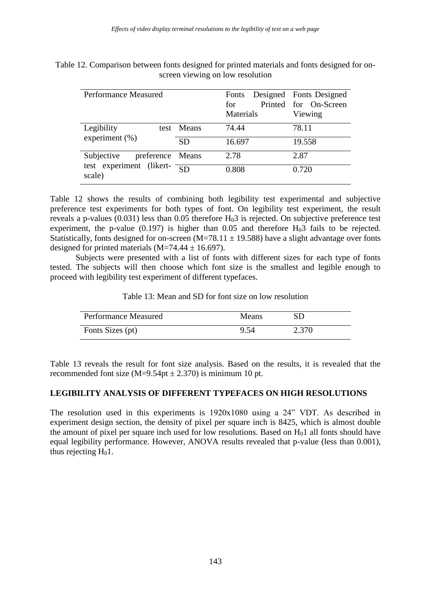| <b>Performance Measured</b>                       |            | Fonts Designed Fonts Designed<br>for<br>Materials | Printed for On-Screen<br>Viewing |
|---------------------------------------------------|------------|---------------------------------------------------|----------------------------------|
| Legibility                                        | test Means | 74.44                                             | 78.11                            |
| experiment $(\% )$                                | <b>SD</b>  | 16.697                                            | 19.558                           |
| Subjective<br>preference Means                    |            | 2.78                                              | 2.87                             |
| test experiment (likert- $\frac{1}{SD}$<br>scale) |            | 0.808                                             | 0.720                            |

Table 12. Comparison between fonts designed for printed materials and fonts designed for onscreen viewing on low resolution

Table 12 shows the results of combining both legibility test experimental and subjective preference test experiments for both types of font. On legibility test experiment, the result reveals a p-values  $(0.031)$  less than 0.05 therefore  $H<sub>0</sub>3$  is rejected. On subjective preference test experiment, the p-value  $(0.197)$  is higher than 0.05 and therefore  $H<sub>0</sub>3$  fails to be rejected. Statistically, fonts designed for on-screen  $(M=78.11 \pm 19.588)$  have a slight advantage over fonts designed for printed materials  $(M=74.44 \pm 16.697)$ .

Subjects were presented with a list of fonts with different sizes for each type of fonts tested. The subjects will then choose which font size is the smallest and legible enough to proceed with legibility test experiment of different typefaces.

Table 13: Mean and SD for font size on low resolution

| <b>Performance Measured</b> | <b>Means</b> | SD    |
|-----------------------------|--------------|-------|
| Fonts Sizes (pt)            | 9.54         | 2.370 |

Table 13 reveals the result for font size analysis. Based on the results, it is revealed that the recommended font size  $(M=9.54pt \pm 2.370)$  is minimum 10 pt.

## **LEGIBILITY ANALYSIS OF DIFFERENT TYPEFACES ON HIGH RESOLUTIONS**

The resolution used in this experiments is 1920x1080 using a 24" VDT. As described in experiment design section, the density of pixel per square inch is 8425, which is almost double the amount of pixel per square inch used for low resolutions. Based on  $H_01$  all fonts should have equal legibility performance. However, ANOVA results revealed that p-value (less than 0.001), thus rejecting  $H<sub>0</sub>1$ .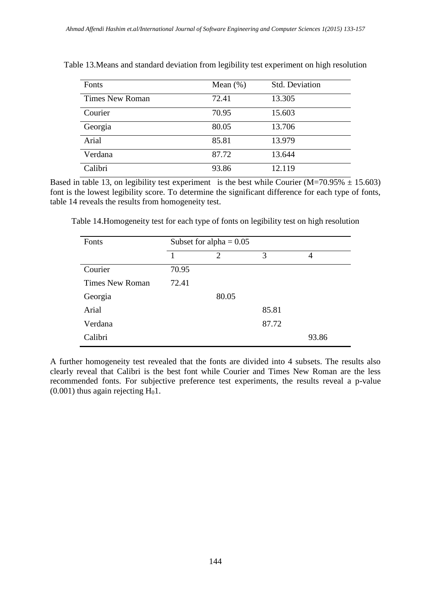| Fonts                  | Mean $(\%)$ | <b>Std. Deviation</b> |
|------------------------|-------------|-----------------------|
| <b>Times New Roman</b> | 72.41       | 13.305                |
| Courier                | 70.95       | 15.603                |
| Georgia                | 80.05       | 13.706                |
| Arial                  | 85.81       | 13.979                |
| Verdana                | 87.72       | 13.644                |
| Calibri                | 93.86       | 12.119                |

Table 13.Means and standard deviation from legibility test experiment on high resolution

Based in table 13, on legibility test experiment is the best while Courier (M=70.95%  $\pm$  15.603) font is the lowest legibility score. To determine the significant difference for each type of fonts, table 14 reveals the results from homogeneity test.

Table 14.Homogeneity test for each type of fonts on legibility test on high resolution

| Fonts                  | Subset for alpha = $0.05$ |                |       |       |
|------------------------|---------------------------|----------------|-------|-------|
|                        |                           | $\overline{2}$ | 3     | 4     |
| Courier                | 70.95                     |                |       |       |
| <b>Times New Roman</b> | 72.41                     |                |       |       |
| Georgia                |                           | 80.05          |       |       |
| Arial                  |                           |                | 85.81 |       |
| Verdana                |                           |                | 87.72 |       |
| Calibri                |                           |                |       | 93.86 |

A further homogeneity test revealed that the fonts are divided into 4 subsets. The results also clearly reveal that Calibri is the best font while Courier and Times New Roman are the less recommended fonts. For subjective preference test experiments, the results reveal a p-value  $(0.001)$  thus again rejecting H<sub>0</sub>1.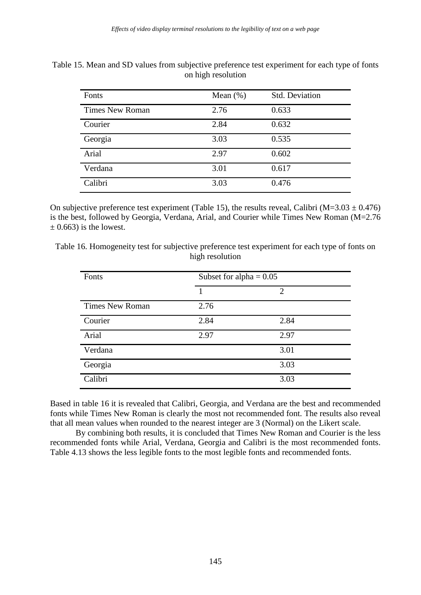| Fonts                  | Mean $(\%)$ | <b>Std. Deviation</b> |
|------------------------|-------------|-----------------------|
| <b>Times New Roman</b> | 2.76        | 0.633                 |
| Courier                | 2.84        | 0.632                 |
| Georgia                | 3.03        | 0.535                 |
| Arial                  | 2.97        | 0.602                 |
| Verdana                | 3.01        | 0.617                 |
| Calibri                | 3.03        | 0.476                 |

Table 15. Mean and SD values from subjective preference test experiment for each type of fonts on high resolution

On subjective preference test experiment (Table 15), the results reveal, Calibri (M=3.03  $\pm$  0.476) is the best, followed by Georgia, Verdana, Arial, and Courier while Times New Roman (M=2.76  $\pm$  0.663) is the lowest.

Table 16. Homogeneity test for subjective preference test experiment for each type of fonts on high resolution

| Fonts                  | Subset for alpha $= 0.05$ |                |  |
|------------------------|---------------------------|----------------|--|
|                        |                           | $\overline{2}$ |  |
| <b>Times New Roman</b> | 2.76                      |                |  |
| Courier                | 2.84                      | 2.84           |  |
| Arial                  | 2.97                      | 2.97           |  |
| Verdana                |                           | 3.01           |  |
| Georgia                |                           | 3.03           |  |
| Calibri                |                           | 3.03           |  |

Based in table 16 it is revealed that Calibri, Georgia, and Verdana are the best and recommended fonts while Times New Roman is clearly the most not recommended font. The results also reveal that all mean values when rounded to the nearest integer are 3 (Normal) on the Likert scale.

By combining both results, it is concluded that Times New Roman and Courier is the less recommended fonts while Arial, Verdana, Georgia and Calibri is the most recommended fonts. Table 4.13 shows the less legible fonts to the most legible fonts and recommended fonts.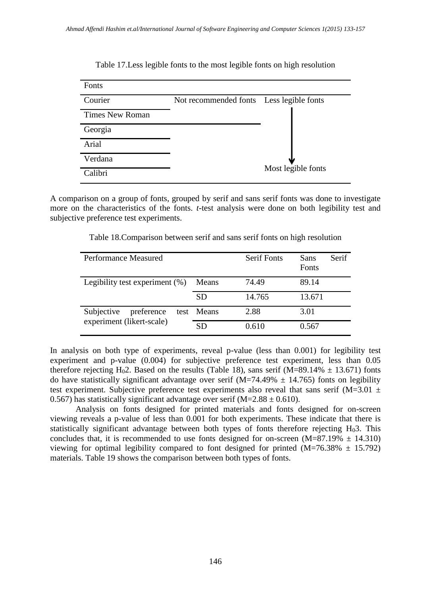

Table 17.Less legible fonts to the most legible fonts on high resolution

A comparison on a group of fonts, grouped by serif and sans serif fonts was done to investigate more on the characteristics of the fonts. *t*-test analysis were done on both legibility test and subjective preference test experiments.

| Performance Measured                                  |            | <b>Serif Fonts</b> | Serif<br>Sans<br>Fonts |
|-------------------------------------------------------|------------|--------------------|------------------------|
| Legibility test experiment $(\%)$                     | Means      | 74.49              | 89.14                  |
|                                                       | SD         | 14.765             | 13.671                 |
| Subjective<br>preference<br>experiment (likert-scale) | test Means | 2.88               | 3.01                   |
|                                                       | <b>SD</b>  | 0.610              | 0.567                  |

Table 18.Comparison between serif and sans serif fonts on high resolution

In analysis on both type of experiments, reveal p-value (less than 0.001) for legibility test experiment and p-value (0.004) for subjective preference test experiment, less than 0.05 therefore rejecting H<sub>0</sub>2. Based on the results (Table 18), sans serif (M=89.14%  $\pm$  13.671) fonts do have statistically significant advantage over serif (M=74.49%  $\pm$  14.765) fonts on legibility test experiment. Subjective preference test experiments also reveal that sans serif (M=3.01  $\pm$ 0.567) has statistically significant advantage over serif ( $M=2.88 \pm 0.610$ ).

Analysis on fonts designed for printed materials and fonts designed for on-screen viewing reveals a p-value of less than 0.001 for both experiments. These indicate that there is statistically significant advantage between both types of fonts therefore rejecting  $H_0$ 3. This concludes that, it is recommended to use fonts designed for on-screen  $(M=87.19\% \pm 14.310)$ viewing for optimal legibility compared to font designed for printed  $(M=76.38\% \pm 15.792)$ materials. Table 19 shows the comparison between both types of fonts.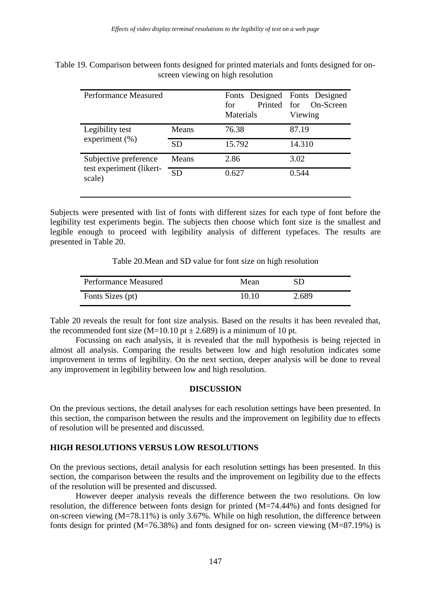| Table 19. Comparison between fonts designed for printed materials and fonts designed for on- |  |
|----------------------------------------------------------------------------------------------|--|
| screen viewing on high resolution                                                            |  |

| <b>Performance Measured</b>                                 |           | Fonts Designed Fonts Designed<br>for<br>Materials | Printed for On-Screen<br>Viewing |  |
|-------------------------------------------------------------|-----------|---------------------------------------------------|----------------------------------|--|
| Legibility test<br>experiment $(\% )$                       | Means     | 76.38                                             | 87.19                            |  |
|                                                             | <b>SD</b> | 15.792                                            | 14.310                           |  |
| Subjective preference<br>test experiment (likert-<br>scale) | Means     | 3.02<br>2.86                                      |                                  |  |
|                                                             | <b>SD</b> | 0.627                                             | 0.544                            |  |

Subjects were presented with list of fonts with different sizes for each type of font before the legibility test experiments begin. The subjects then choose which font size is the smallest and legible enough to proceed with legibility analysis of different typefaces. The results are presented in Table 20.

Table 20.Mean and SD value for font size on high resolution

| <b>Performance Measured</b> | Mean  | SD    |
|-----------------------------|-------|-------|
| Fonts Sizes (pt)            | 10.10 | 2.689 |

Table 20 reveals the result for font size analysis. Based on the results it has been revealed that, the recommended font size (M=10.10 pt  $\pm$  2.689) is a minimum of 10 pt.

Focussing on each analysis, it is revealed that the null hypothesis is being rejected in almost all analysis. Comparing the results between low and high resolution indicates some improvement in terms of legibility. On the next section, deeper analysis will be done to reveal any improvement in legibility between low and high resolution.

#### **DISCUSSION**

On the previous sections, the detail analyses for each resolution settings have been presented. In this section, the comparison between the results and the improvement on legibility due to effects of resolution will be presented and discussed.

## **HIGH RESOLUTIONS VERSUS LOW RESOLUTIONS**

On the previous sections, detail analysis for each resolution settings has been presented. In this section, the comparison between the results and the improvement on legibility due to the effects of the resolution will be presented and discussed.

However deeper analysis reveals the difference between the two resolutions. On low resolution, the difference between fonts design for printed (M=74.44%) and fonts designed for on-screen viewing (M=78.11%) is only 3.67%. While on high resolution, the difference between fonts design for printed  $(M=76.38%)$  and fonts designed for on- screen viewing  $(M=87.19%)$  is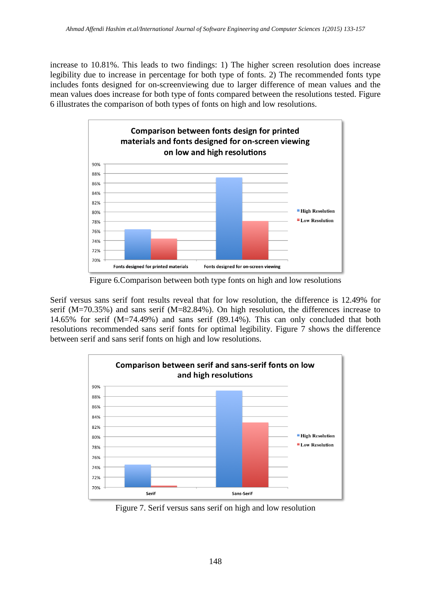increase to 10.81%. This leads to two findings: 1) The higher screen resolution does increase legibility due to increase in percentage for both type of fonts. 2) The recommended fonts type includes fonts designed for on-screenviewing due to larger difference of mean values and the mean values does increase for both type of fonts compared between the resolutions tested. Figure 6 illustrates the comparison of both types of fonts on high and low resolutions.



Figure 6.Comparison between both type fonts on high and low resolutions

Serif versus sans serif font results reveal that for low resolution, the difference is 12.49% for serif (M=70.35%) and sans serif (M=82.84%). On high resolution, the differences increase to 14.65% for serif (M=74.49%) and sans serif (89.14%). This can only concluded that both resolutions recommended sans serif fonts for optimal legibility. Figure 7 shows the difference between serif and sans serif fonts on high and low resolutions.



Figure 7. Serif versus sans serif on high and low resolution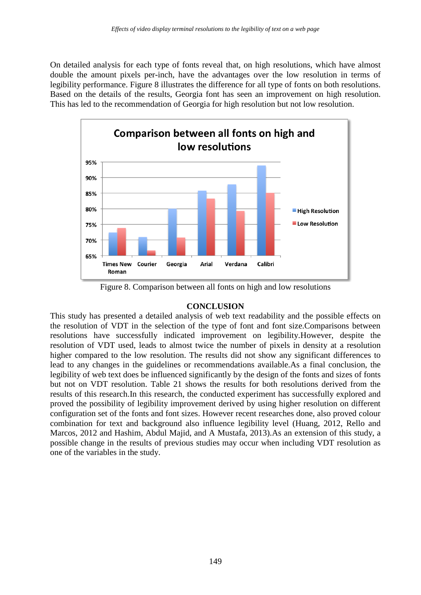On detailed analysis for each type of fonts reveal that, on high resolutions, which have almost double the amount pixels per-inch, have the advantages over the low resolution in terms of legibility performance. Figure 8 illustrates the difference for all type of fonts on both resolutions. Based on the details of the results, Georgia font has seen an improvement on high resolution. This has led to the recommendation of Georgia for high resolution but not low resolution.



Figure 8. Comparison between all fonts on high and low resolutions

## **CONCLUSION**

This study has presented a detailed analysis of web text readability and the possible effects on the resolution of VDT in the selection of the type of font and font size.Comparisons between resolutions have successfully indicated improvement on legibility.However, despite the resolution of VDT used, leads to almost twice the number of pixels in density at a resolution higher compared to the low resolution. The results did not show any significant differences to lead to any changes in the guidelines or recommendations available.As a final conclusion, the legibility of web text does be influenced significantly by the design of the fonts and sizes of fonts but not on VDT resolution. Table 21 shows the results for both resolutions derived from the results of this research.In this research, the conducted experiment has successfully explored and proved the possibility of legibility improvement derived by using higher resolution on different configuration set of the fonts and font sizes. However recent researches done, also proved colour combination for text and background also influence legibility level (Huang, 2012, Rello and Marcos, 2012 and Hashim, Abdul Majid, and A Mustafa, 2013).As an extension of this study, a possible change in the results of previous studies may occur when including VDT resolution as one of the variables in the study.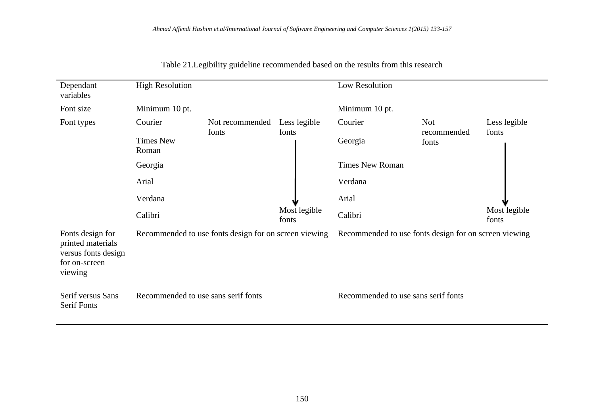| Dependant                                                                                | <b>High Resolution</b>              |                                                       |                       | Low Resolution                                        |                      |                       |
|------------------------------------------------------------------------------------------|-------------------------------------|-------------------------------------------------------|-----------------------|-------------------------------------------------------|----------------------|-----------------------|
| variables                                                                                |                                     |                                                       |                       |                                                       |                      |                       |
| Font size                                                                                | Minimum 10 pt.                      |                                                       |                       | Minimum 10 pt.                                        |                      |                       |
| Font types                                                                               | Courier                             | Not recommended                                       | Less legible          | Courier                                               | <b>Not</b>           | Less legible          |
|                                                                                          | <b>Times New</b><br>Roman           | fonts                                                 | fonts                 | Georgia                                               | recommended<br>fonts | fonts                 |
|                                                                                          | Georgia                             |                                                       |                       | <b>Times New Roman</b>                                |                      |                       |
|                                                                                          | Arial                               |                                                       |                       | Verdana                                               |                      |                       |
|                                                                                          | Verdana                             |                                                       |                       | Arial                                                 |                      |                       |
|                                                                                          | Calibri                             |                                                       | Most legible<br>fonts | Calibri                                               |                      | Most legible<br>fonts |
| Fonts design for<br>printed materials<br>versus fonts design<br>for on-screen<br>viewing |                                     | Recommended to use fonts design for on screen viewing |                       | Recommended to use fonts design for on screen viewing |                      |                       |
| Serif versus Sans<br><b>Serif Fonts</b>                                                  | Recommended to use sans serif fonts |                                                       |                       | Recommended to use sans serif fonts                   |                      |                       |

Table 21.Legibility guideline recommended based on the results from this research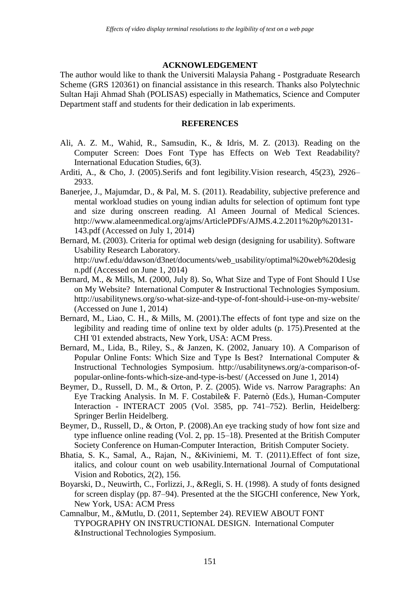#### **ACKNOWLEDGEMENT**

The author would like to thank the Universiti Malaysia Pahang - Postgraduate Research Scheme (GRS 120361) on financial assistance in this research. Thanks also Polytechnic Sultan Haji Ahmad Shah (POLISAS) especially in Mathematics, Science and Computer Department staff and students for their dedication in lab experiments.

## **REFERENCES**

- Ali, A. Z. M., Wahid, R., Samsudin, K., & Idris, M. Z. (2013). Reading on the Computer Screen: Does Font Type has Effects on Web Text Readability? International Education Studies, 6(3).
- Arditi, A., & Cho, J. (2005).Serifs and font legibility.Vision research, 45(23), 2926– 2933.
- Banerjee, J., Majumdar, D., & Pal, M. S. (2011). Readability, subjective preference and mental workload studies on young indian adults for selection of optimum font type and size during onscreen reading. Al Ameen Journal of Medical Sciences. http://www.alameenmedical.org/ajms/ArticlePDFs/AJMS.4.2.2011%20p%20131- 143.pdf (Accessed on July 1, 2014)
- Bernard, M. (2003). Criteria for optimal web design (designing for usability). Software Usability Research Laboratory. http://uwf.edu/ddawson/d3net/documents/web\_usability/optimal%20web%20desig n.pdf (Accessed on June 1, 2014)
- Bernard, M., & Mills, M. (2000, July 8). So, What Size and Type of Font Should I Use on My Website? International Computer & Instructional Technologies Symposium. http://usabilitynews.org/so-what-size-and-type-of-font-should-i-use-on-my-website/ (Accessed on June 1, 2014)
- Bernard, M., Liao, C. H., & Mills, M. (2001).The effects of font type and size on the legibility and reading time of online text by older adults (p. 175).Presented at the CHI '01 extended abstracts, New York, USA: ACM Press.
- Bernard, M., Lida, B., Riley, S., & Janzen, K. (2002, January 10). A Comparison of Popular Online Fonts: Which Size and Type Is Best? International Computer & Instructional Technologies Symposium. http://usabilitynews.org/a-comparison-ofpopular-online-fonts-which-size-and-type-is-best/ (Accessed on June 1, 2014)
- Beymer, D., Russell, D. M., & Orton, P. Z. (2005). Wide vs. Narrow Paragraphs: An Eye Tracking Analysis. In M. F. Costabile& F. Paternò (Eds.), Human-Computer Interaction - INTERACT 2005 (Vol. 3585, pp. 741–752). Berlin, Heidelberg: Springer Berlin Heidelberg.
- Beymer, D., Russell, D., & Orton, P. (2008).An eye tracking study of how font size and type influence online reading (Vol. 2, pp. 15–18). Presented at the British Computer Society Conference on Human-Computer Interaction, British Computer Society.
- Bhatia, S. K., Samal, A., Rajan, N., &Kiviniemi, M. T. (2011).Effect of font size, italics, and colour count on web usability.International Journal of Computational Vision and Robotics, 2(2), 156.
- Boyarski, D., Neuwirth, C., Forlizzi, J., &Regli, S. H. (1998). A study of fonts designed for screen display (pp. 87–94). Presented at the the SIGCHI conference, New York, New York, USA: ACM Press
- Camnalbur, M., &Mutlu, D. (2011, September 24). REVIEW ABOUT FONT TYPOGRAPHY ON INSTRUCTIONAL DESIGN. International Computer &Instructional Technologies Symposium.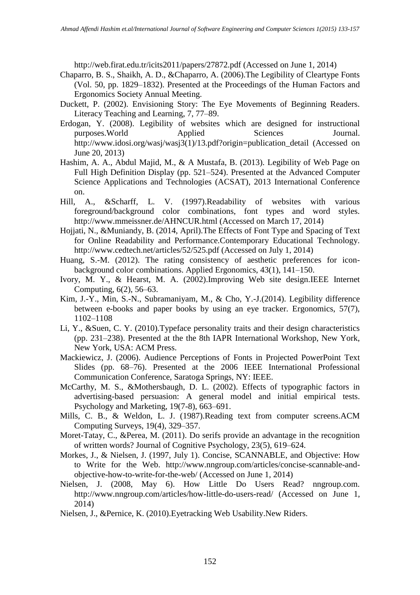http://web.firat.edu.tr/icits2011/papers/27872.pdf (Accessed on June 1, 2014)

- Chaparro, B. S., Shaikh, A. D., &Chaparro, A. (2006).The Legibility of Cleartype Fonts (Vol. 50, pp. 1829–1832). Presented at the Proceedings of the Human Factors and Ergonomics Society Annual Meeting.
- Duckett, P. (2002). Envisioning Story: The Eye Movements of Beginning Readers. Literacy Teaching and Learning, 7, 77–89.
- Erdogan, Y. (2008). Legibility of websites which are designed for instructional purposes.World Applied Sciences Journal. http://www.idosi.org/wasj/wasj3(1)/13.pdf?origin=publication\_detail (Accessed on June 20, 2013)
- Hashim, A. A., Abdul Majid, M., & A Mustafa, B. (2013). Legibility of Web Page on Full High Definition Display (pp. 521–524). Presented at the Advanced Computer Science Applications and Technologies (ACSAT), 2013 International Conference on.
- Hill, A., &Scharff, L. V. (1997).Readability of websites with various foreground/background color combinations, font types and word styles. http://www.mmeissner.de/AHNCUR.html (Accessed on March 17, 2014)
- Hojjati, N., &Muniandy, B. (2014, April).The Effects of Font Type and Spacing of Text for Online Readability and Performance.Contemporary Educational Technology. http://www.cedtech.net/articles/52/525.pdf (Accessed on July 1, 2014)
- Huang, S.-M. (2012). The rating consistency of aesthetic preferences for iconbackground color combinations. Applied Ergonomics, 43(1), 141–150.
- Ivory, M. Y., & Hearst, M. A. (2002).Improving Web site design.IEEE Internet Computing, 6(2), 56–63.
- Kim, J.-Y., Min, S.-N., Subramaniyam, M., & Cho, Y.-J.(2014). Legibility difference between e-books and paper books by using an eye tracker. Ergonomics, 57(7), 1102–1108
- Li, Y., &Suen, C. Y. (2010).Typeface personality traits and their design characteristics (pp. 231–238). Presented at the the 8th IAPR International Workshop, New York, New York, USA: ACM Press.
- Mackiewicz, J. (2006). Audience Perceptions of Fonts in Projected PowerPoint Text Slides (pp. 68–76). Presented at the 2006 IEEE International Professional Communication Conference, Saratoga Springs, NY: IEEE.
- McCarthy, M. S., &Mothersbaugh, D. L. (2002). Effects of typographic factors in advertising-based persuasion: A general model and initial empirical tests. Psychology and Marketing, 19(7-8), 663–691.
- Mills, C. B., & Weldon, L. J. (1987).Reading text from computer screens.ACM Computing Surveys, 19(4), 329–357.
- Moret-Tatay, C., &Perea, M. (2011). Do serifs provide an advantage in the recognition of written words? Journal of Cognitive Psychology, 23(5), 619–624.
- Morkes, J., & Nielsen, J. (1997, July 1). Concise, SCANNABLE, and Objective: How to Write for the Web. http://www.nngroup.com/articles/concise-scannable-andobjective-how-to-write-for-the-web/ (Accessed on June 1, 2014)
- Nielsen, J. (2008, May 6). How Little Do Users Read? nngroup.com. http://www.nngroup.com/articles/how-little-do-users-read/ (Accessed on June 1, 2014)
- Nielsen, J., &Pernice, K. (2010).Eyetracking Web Usability.New Riders.